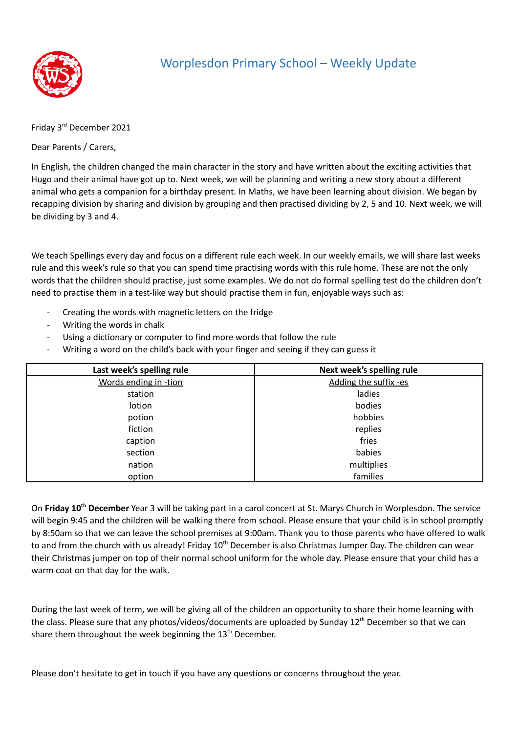

## Worplesdon Primary School – Weekly Update

Friday 3 rd December 2021

Dear Parents / Carers,

In English, the children changed the main character in the story and have written about the exciting activities that Hugo and their animal have got up to. Next week, we will be planning and writing a new story about a different animal who gets a companion for a birthday present. In Maths, we have been learning about division. We began by recapping division by sharing and division by grouping and then practised dividing by 2, 5 and 10. Next week, we will be dividing by 3 and 4.

We teach Spellings every day and focus on a different rule each week. In our weekly emails, we will share last weeks rule and this week's rule so that you can spend time practising words with this rule home. These are not the only words that the children should practise, just some examples. We do not do formal spelling test do the children don't need to practise them in a test-like way but should practise them in fun, enjoyable ways such as:

- Creating the words with magnetic letters on the fridge
- Writing the words in chalk
- Using a dictionary or computer to find more words that follow the rule
- Writing a word on the child's back with your finger and seeing if they can guess it

| Last week's spelling rule | Next week's spelling rule |
|---------------------------|---------------------------|
| Words ending in -tion     | Adding the suffix -es     |
| station                   | ladies                    |
| lotion                    | bodies                    |
| potion                    | hobbies                   |
| fiction                   | replies                   |
| caption                   | fries                     |
| section                   | babies                    |
| nation                    | multiplies                |
| option                    | families                  |

On Friday 10<sup>th</sup> December Year 3 will be taking part in a carol concert at St. Marys Church in Worplesdon. The service will begin 9:45 and the children will be walking there from school. Please ensure that your child is in school promptly by 8:50am so that we can leave the school premises at 9:00am. Thank you to those parents who have offered to walk to and from the church with us already! Friday 10<sup>th</sup> December is also Christmas Jumper Day. The children can wear their Christmas jumper on top of their normal school uniform for the whole day. Please ensure that your child has a warm coat on that day for the walk.

During the last week of term, we will be giving all of the children an opportunity to share their home learning with the class. Please sure that any photos/videos/documents are uploaded by Sunday 12<sup>th</sup> December so that we can share them throughout the week beginning the 13<sup>th</sup> December.

Please don't hesitate to get in touch if you have any questions or concerns throughout the year.